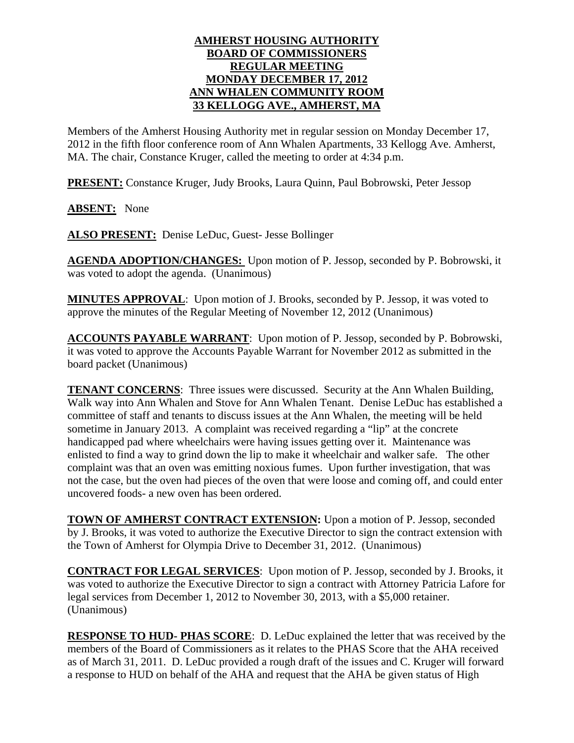## **AMHERST HOUSING AUTHORITY BOARD OF COMMISSIONERS REGULAR MEETING MONDAY DECEMBER 17, 2012 ANN WHALEN COMMUNITY ROOM 33 KELLOGG AVE., AMHERST, MA**

Members of the Amherst Housing Authority met in regular session on Monday December 17, 2012 in the fifth floor conference room of Ann Whalen Apartments, 33 Kellogg Ave. Amherst, MA. The chair, Constance Kruger, called the meeting to order at 4:34 p.m.

**PRESENT:** Constance Kruger, Judy Brooks, Laura Quinn, Paul Bobrowski, Peter Jessop

**ABSENT:** None

**ALSO PRESENT:** Denise LeDuc, Guest- Jesse Bollinger

**AGENDA ADOPTION/CHANGES:** Upon motion of P. Jessop, seconded by P. Bobrowski, it was voted to adopt the agenda. (Unanimous)

**MINUTES APPROVAL**: Upon motion of J. Brooks, seconded by P. Jessop, it was voted to approve the minutes of the Regular Meeting of November 12, 2012 (Unanimous)

**ACCOUNTS PAYABLE WARRANT**: Upon motion of P. Jessop, seconded by P. Bobrowski, it was voted to approve the Accounts Payable Warrant for November 2012 as submitted in the board packet (Unanimous)

**TENANT CONCERNS**: Three issues were discussed. Security at the Ann Whalen Building, Walk way into Ann Whalen and Stove for Ann Whalen Tenant. Denise LeDuc has established a committee of staff and tenants to discuss issues at the Ann Whalen, the meeting will be held sometime in January 2013. A complaint was received regarding a "lip" at the concrete handicapped pad where wheelchairs were having issues getting over it. Maintenance was enlisted to find a way to grind down the lip to make it wheelchair and walker safe. The other complaint was that an oven was emitting noxious fumes. Upon further investigation, that was not the case, but the oven had pieces of the oven that were loose and coming off, and could enter uncovered foods- a new oven has been ordered.

**TOWN OF AMHERST CONTRACT EXTENSION:** Upon a motion of P. Jessop, seconded by J. Brooks, it was voted to authorize the Executive Director to sign the contract extension with the Town of Amherst for Olympia Drive to December 31, 2012. (Unanimous)

**CONTRACT FOR LEGAL SERVICES**: Upon motion of P. Jessop, seconded by J. Brooks, it was voted to authorize the Executive Director to sign a contract with Attorney Patricia Lafore for legal services from December 1, 2012 to November 30, 2013, with a \$5,000 retainer. (Unanimous)

**RESPONSE TO HUD- PHAS SCORE**: D. LeDuc explained the letter that was received by the members of the Board of Commissioners as it relates to the PHAS Score that the AHA received as of March 31, 2011. D. LeDuc provided a rough draft of the issues and C. Kruger will forward a response to HUD on behalf of the AHA and request that the AHA be given status of High